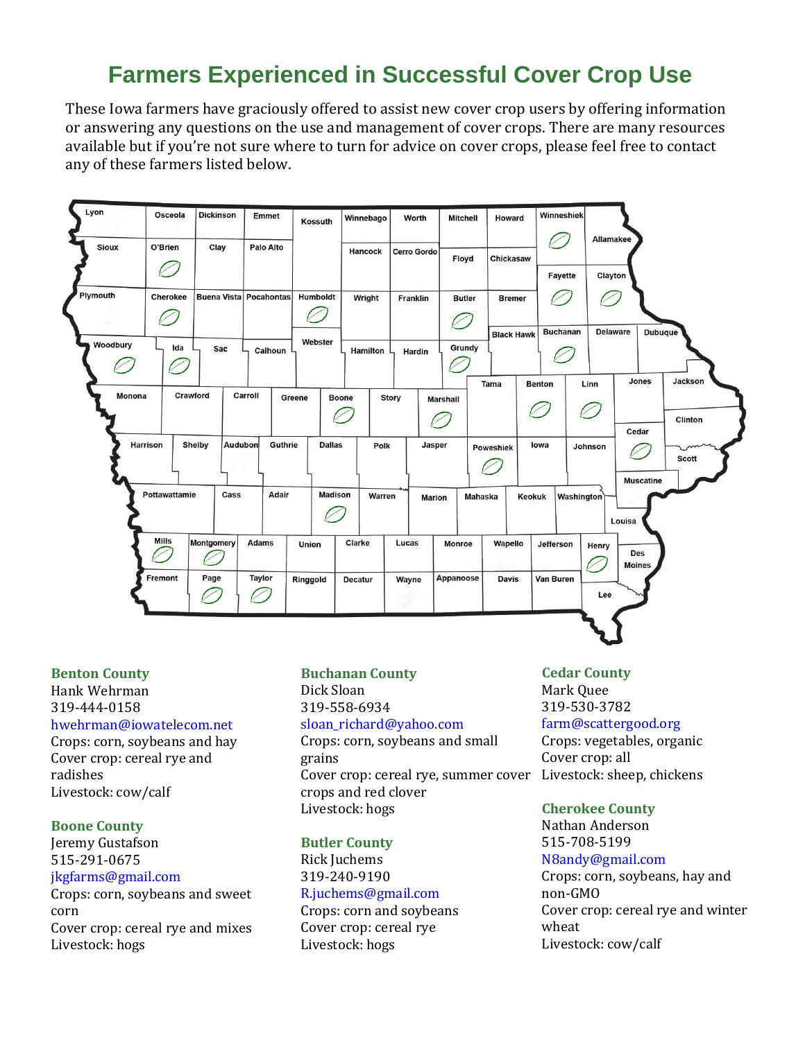# **Farmers Experienced in Successful Cover Crop Use**

These Iowa farmers have graciously offered to assist new cover crop users by offering information or answering any questions on the use and management of cover crops. There are many resources available but if you're not sure where to turn for advice on cover crops, please feel free to contact any of these farmers listed below.



## **Benton County**

Hank Wehrman 319-444-0158

## [hwehrman@iowatelecom.net](mailto:hwehrman@iowatelecom.net)

Crops: corn, soybeans and hay Cover crop: cereal rye and radishes Livestock: cow/calf

## **Boone County**

Jeremy Gustafson 515-291-0675 [jkgfarms@gmail.com](mailto:jkgfarms@gmail.com)

Crops: corn, soybeans and sweet corn Cover crop: cereal rye and mixes Livestock: hogs

## **Buchanan County**

Dick Sloan 319-558-6934 [sloan\\_richard@yahoo.com](mailto:sloan_richard@yahoo.com) Crops: corn, soybeans and small grains Cover crop: cereal rye, summer cover crops and red clover Livestock: hogs

#### **Butler County**

Rick Juchems 319-240-9190

## [R.juchems@gmail.com](mailto:R.juchems@gmail.com)

Crops: corn and soybeans Cover crop: cereal rye Livestock: hogs

## **Cedar County**

Mark Quee 319-530-3782 [farm@scattergood.org](mailto:farm@scattergood.org) Crops: vegetables, organic Cover crop: all Livestock: sheep, chickens

#### **Cherokee County**

Nathan Anderson 515-708-5199 [N8andy@gmail.com](mailto:N8andy@gmail.com)

Crops: corn, soybeans, hay and non-GMO Cover crop: cereal rye and winter wheat Livestock: cow/calf